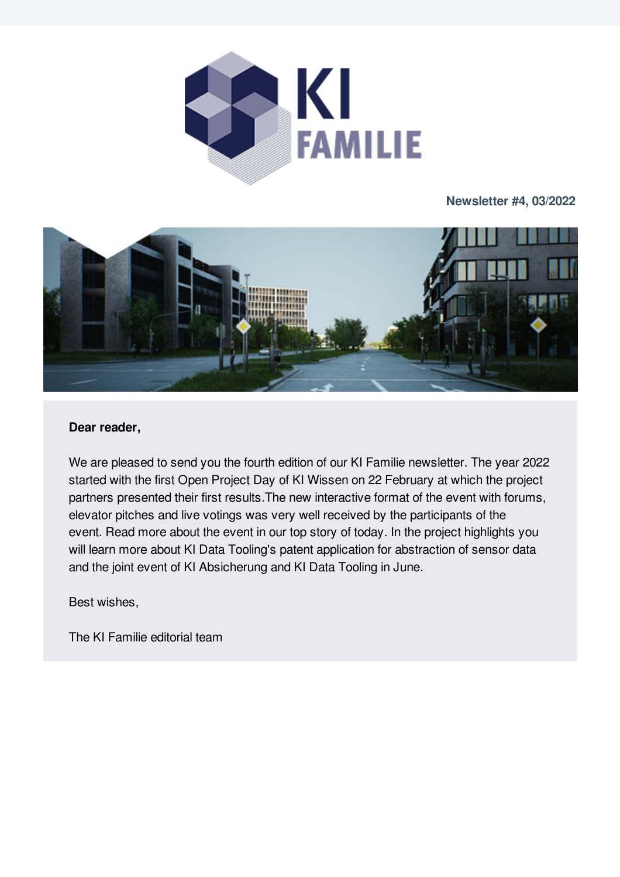

#### **Newsletter #4, 03/2022**



#### Dear reader,

We are pleased to send you the fourth edition of our KI Familie newsletter. The year 2022 started with the first Open Project Day of KI Wissen on 22 February at which the project partners presented their first results. The new interactive format of the event with forums, elevator pitches and live votings was very well received by the participants of the event. Read more about the event in our top story of today. In the project highlights you will learn more about KI Data Tooling's patent application for abstraction of sensor data and the joint event of KI Absicherung and KI Data Tooling in June.

Best wishes,

The KI Familie editorial team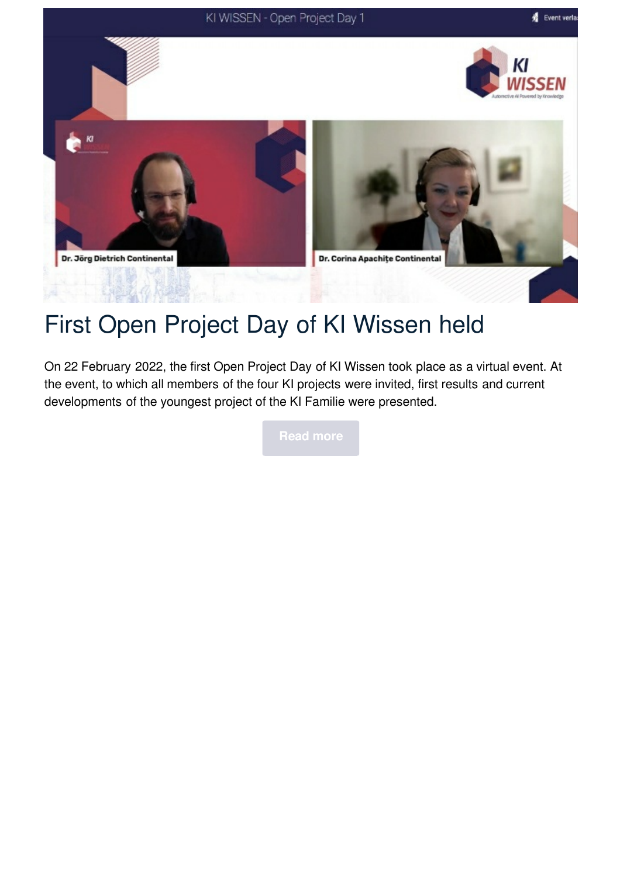

## First Open Project Day of KI Wissen held

On 22 February 2022, the first Open Project Day of KI Wissen took place as a virtual event. At the event, to which all members of the four KI projects were invited, first results and current developments of the youngest project of the KI Familie were presented.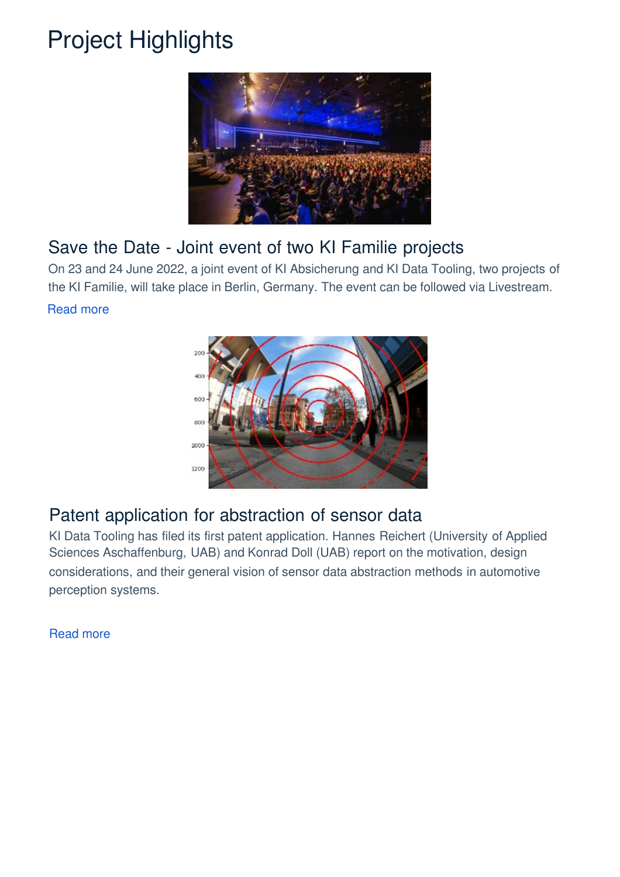# Project Highlights



## Save the Date - Joint event of two KI Familie projects

On 23 and 24 June 2022, a joint event of KI Absicherung and KI Data Tooling, two projects of the KI Familie, will take place in Berlin, Germany. The event can be followed via Livestream.

#### Read more



## Patent application for abstraction of sensor data

KI Data Tooling has filed its first patent application. Hannes Reichert (University of Applied Sciences Aschaffenburg, UAB) and Konrad Doll (UAB) report on the motivation, design considerations, and their general vision of sensor data abstraction methods in automotive perception systems.

Read more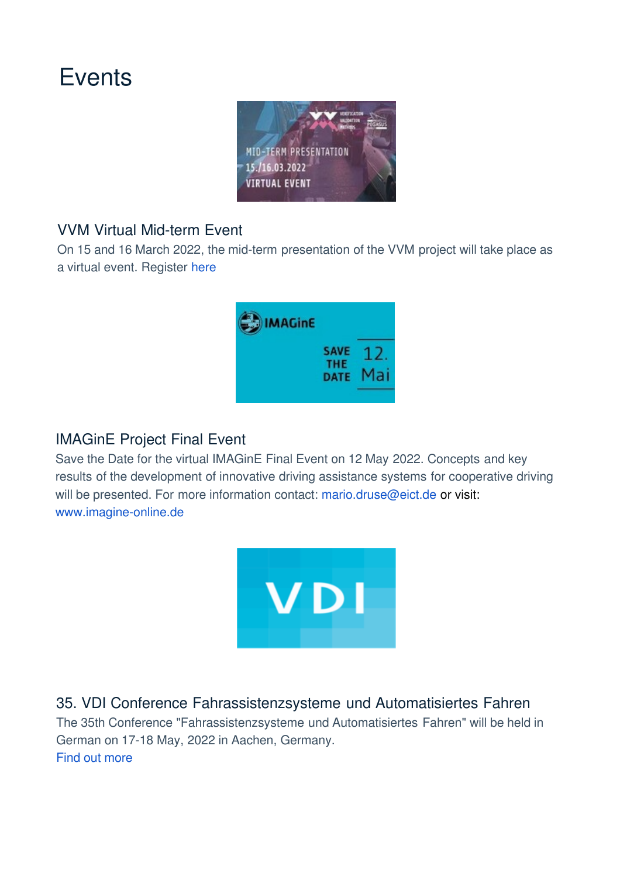# **Events**



### VVM Virtual Mid-term Event

On 15 and 16 March 2022, the mid-term presentation of the VVM project will take place as a virtual event. Register [here](https://en.xing-events.com/VVMmidterm.html)



## **IMAGinE Project Final Event**

Save the Date for the virtual IMAGinE Final Event on 12 May 2022. Concepts and key results of the development of innovative driving assistance systems for cooperative driving will be presented. For more information contact: mario.druse@eict.de or visit: [www.imagine-online.de](https://www.imagine-online.de/home)



35. VDI Conference Fahrassistenzsysteme und Automatisiertes Fahren The 35th Conference "Fahrassistenzsysteme und Automatisiertes Fahren" will be held in German on 17-18 May, 2022 in Aachen, Germany. Find out more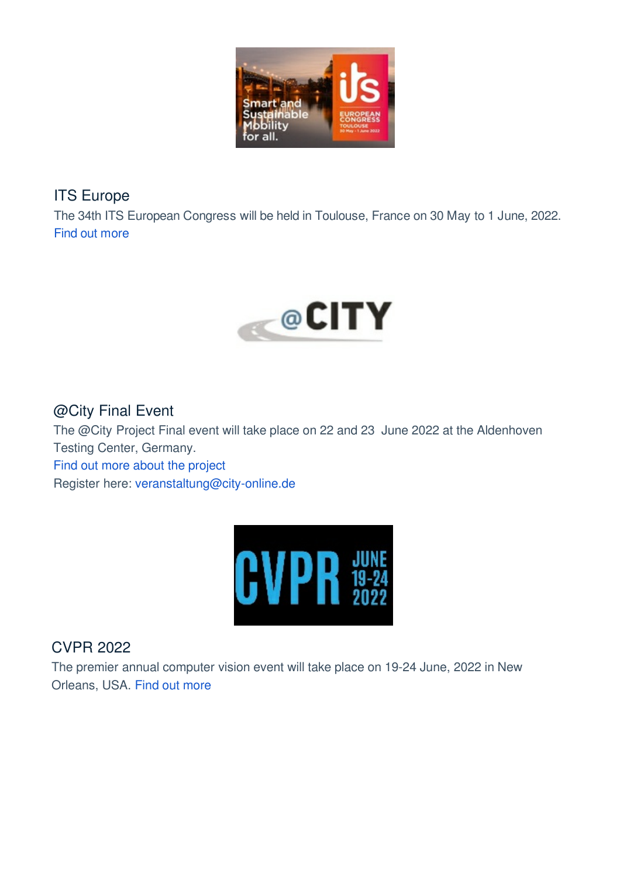

## **ITS** Europe

The 34th ITS European Congress will be held in Toulouse, France on 30 May to 1 June, 2022. Find out more



### @City Final Event

The @City Project Final event will take place on 22 and 23 June 2022 at the Aldenhoven Testing Center, Germany.

Find out more about the project

Register here: veranstaltung@city-online.de



## CVPR 2022

The premier annual computer vision event will take place on 19-24 June, 2022 in New Orleans, USA. Find out more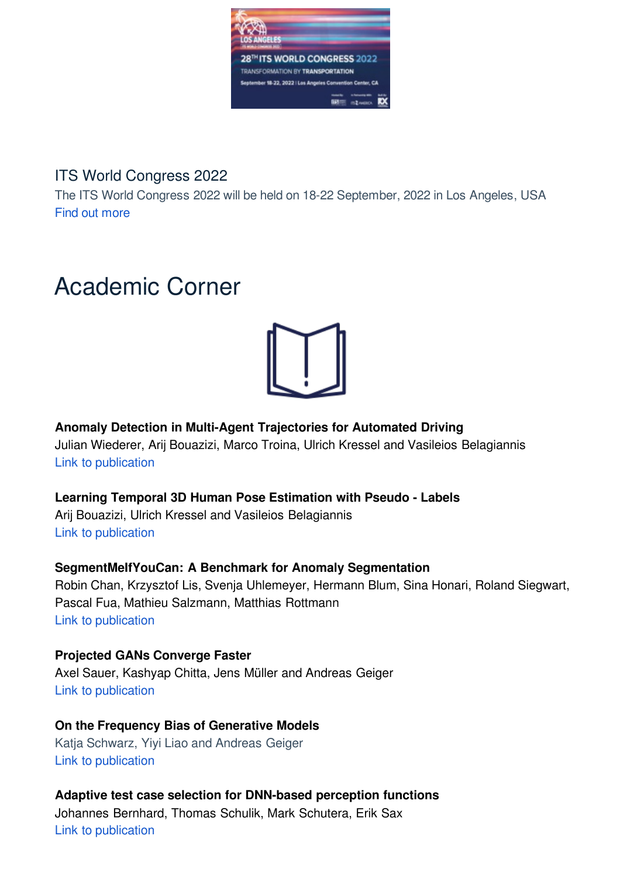

## ITS World Congress 2022

The ITS World Congress 2022 will be held on 18-22 September, 2022 in Los Angeles, USA Find out more

# **Academic Corner**



**Anomaly Detection in Multi-Agent Trajectories for Automated Driving** 

Julian Wiederer, Arij Bouazizi, Marco Troina, Ulrich Kressel and Vasileios Belagiannis Link to publication

### **Learning Temporal 3D Human Pose Estimation with Pseudo - Labels**

Arij Bouazizi, Ulrich Kressel and Vasileios Belagiannis Link to publication

### **SegmentMeIfYouCan: A Benchmark for Anomaly Segmentation**

Robin Chan, Krzysztof Lis, Svenja Uhlemeyer, Hermann Blum, Sina Honari, Roland Siegwart, Pascal Fua, Mathieu Salzmann, Matthias Rottmann Link to publication

## **Projected GANs Converge Faster**

Axel Sauer, Kashyap Chitta, Jens Müller and Andreas Geiger Link to publication

## **On the Frequency Bias of Generative Models**

Katja Schwarz, Yiyi Liao and Andreas Geiger Link to publication

## Adaptive test case selection for DNN-based perception functions

Johannes Bernhard, Thomas Schulik, Mark Schutera, Erik Sax Link to publication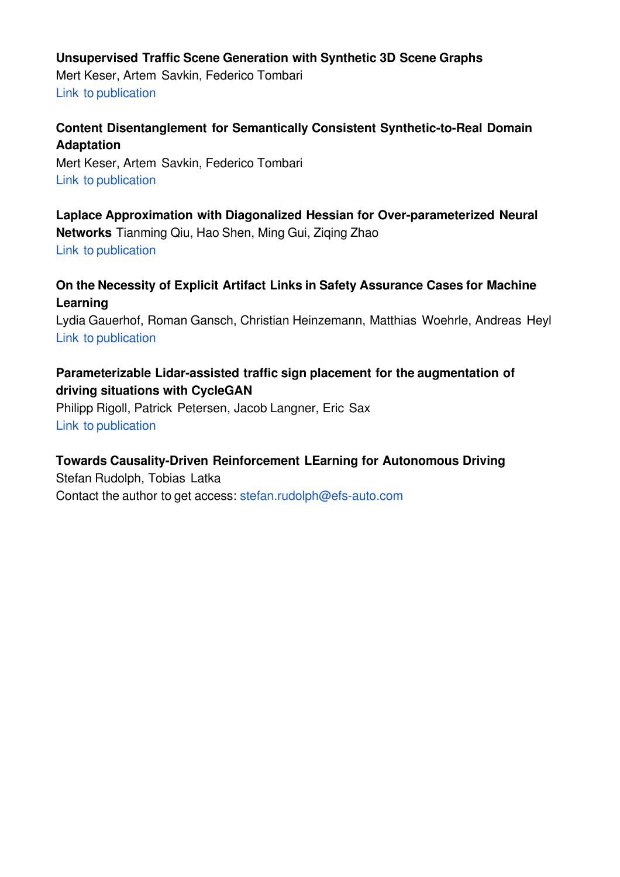#### **Unsupervised Traffic Scene Generation with Synthetic 3D Scene Graphs**

Mert Keser, Artem Savkin, Federico Tombari Link to publication

## **Content Disentanglement for Semantically Consistent Synthetic-to-Real Domain Adaptation**

Mert Keser, Artem Savkin, Federico Tombari Link to publication

Laplace Approximation with Diagonalized Hessian for Over-parameterized Neural **Networks** Tianming Qiu, Hao Shen, Ming Gui, Ziqing Zhao Link to publication

### **On the Necessity of Explicit Artifact Links in Safety Assurance Cases for Machine Learning**

Lydia Gauerhof, Roman Gansch, Christian Heinzemann, Matthias Woehrle, Andreas Heyl Link to publication

### Parameterizable Lidar-assisted traffic sign placement for the augmentation of **driving situations with CycleGAN**

Philipp Rigoll, Patrick Petersen, Jacob Langner, Eric Sax Link to publication

### **Towards Causality-Driven Reinforcement LEarning for Autonomous Driving**

Stefan Rudolph, Tobias Latka Contact the author to get access:  $stefan.rudolph@efs-auto.com$